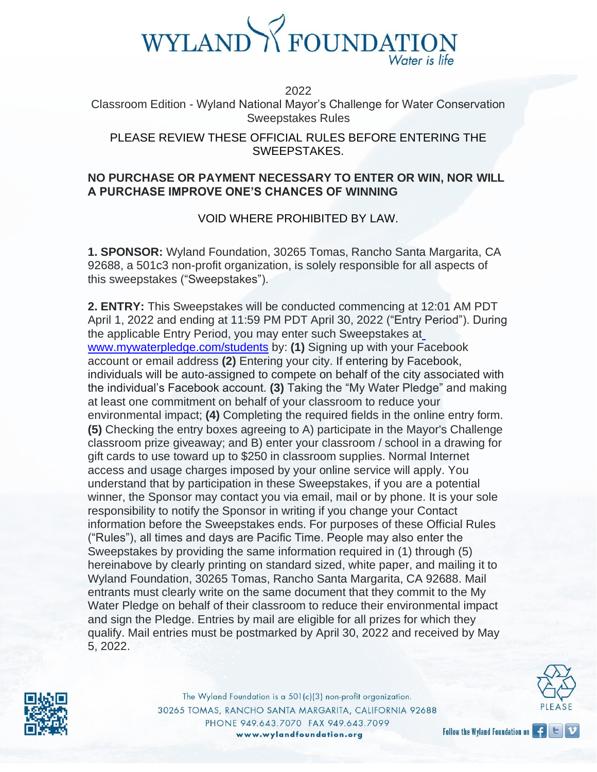

2022

Classroom Edition - Wyland National Mayor's Challenge for Water Conservation Sweepstakes Rules

PLEASE REVIEW THESE OFFICIAL RULES BEFORE ENTERING THE SWEEPSTAKES.

#### **NO PURCHASE OR PAYMENT NECESSARY TO ENTER OR WIN, NOR WILL A PURCHASE IMPROVE ONE'S CHANCES OF WINNING**

#### VOID WHERE PROHIBITED BY LAW.

**1. SPONSOR:** Wyland Foundation, 30265 Tomas, Rancho Santa Margarita, CA 92688, a 501c3 non-profit organization, is solely responsible for all aspects of this sweepstakes ("Sweepstakes").

**2. ENTRY:** This Sweepstakes will be conducted commencing at 12:01 AM PDT April 1, 2022 and ending at 11:59 PM PDT April 30, 2022 ("Entry Period"). During the applicable Entry Period, you may enter such Sweepstakes a[t](http://www.mywaterpledge.com/students) [www.mywaterpledge.com/students](http://www.mywaterpledge.com/students) by: **(1)** Signing up with your Facebook account or email address **(2)** Entering your city. If entering by Facebook, individuals will be auto-assigned to compete on behalf of the city associated with the individual's Facebook account. **(3)** Taking the "My Water Pledge" and making at least one commitment on behalf of your classroom to reduce your environmental impact; **(4)** Completing the required fields in the online entry form. **(5)** Checking the entry boxes agreeing to A) participate in the Mayor's Challenge classroom prize giveaway; and B) enter your classroom / school in a drawing for gift cards to use toward up to \$250 in classroom supplies. Normal Internet access and usage charges imposed by your online service will apply. You understand that by participation in these Sweepstakes, if you are a potential winner, the Sponsor may contact you via email, mail or by phone. It is your sole responsibility to notify the Sponsor in writing if you change your Contact information before the Sweepstakes ends. For purposes of these Official Rules ("Rules"), all times and days are Pacific Time. People may also enter the Sweepstakes by providing the same information required in (1) through (5) hereinabove by clearly printing on standard sized, white paper, and mailing it to Wyland Foundation, 30265 Tomas, Rancho Santa Margarita, CA 92688. Mail entrants must clearly write on the same document that they commit to the My Water Pledge on behalf of their classroom to reduce their environmental impact and sign the Pledge. Entries by mail are eligible for all prizes for which they qualify. Mail entries must be postmarked by April 30, 2022 and received by May 5, 2022.



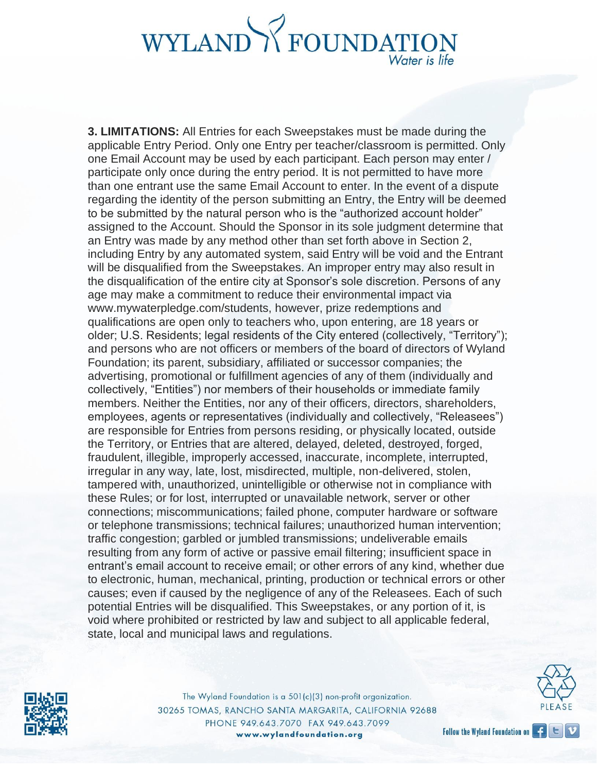**3. LIMITATIONS:** All Entries for each Sweepstakes must be made during the applicable Entry Period. Only one Entry per teacher/classroom is permitted. Only one Email Account may be used by each participant. Each person may enter / participate only once during the entry period. It is not permitted to have more than one entrant use the same Email Account to enter. In the event of a dispute regarding the identity of the person submitting an Entry, the Entry will be deemed to be submitted by the natural person who is the "authorized account holder" assigned to the Account. Should the Sponsor in its sole judgment determine that an Entry was made by any method other than set forth above in Section 2, including Entry by any automated system, said Entry will be void and the Entrant will be disqualified from the Sweepstakes. An improper entry may also result in the disqualification of the entire city at Sponsor's sole discretion. Persons of any age may make a commitment to reduce their environmental impact vi[a](http://www.mywaterpledge.com/students) [www.mywaterpledge.com/students, h](http://www.mywaterpledge.com/students)owever, prize redemptions and qualifications are open only to teachers who, upon entering, are 18 years or older; U.S. Residents; legal residents of the City entered (collectively, "Territory"); and persons who are not officers or members of the board of directors of Wyland Foundation; its parent, subsidiary, affiliated or successor companies; the advertising, promotional or fulfillment agencies of any of them (individually and collectively, "Entities") nor members of their households or immediate family members. Neither the Entities, nor any of their officers, directors, shareholders, employees, agents or representatives (individually and collectively, "Releasees") are responsible for Entries from persons residing, or physically located, outside the Territory, or Entries that are altered, delayed, deleted, destroyed, forged, fraudulent, illegible, improperly accessed, inaccurate, incomplete, interrupted, irregular in any way, late, lost, misdirected, multiple, non-delivered, stolen, tampered with, unauthorized, unintelligible or otherwise not in compliance with these Rules; or for lost, interrupted or unavailable network, server or other connections; miscommunications; failed phone, computer hardware or software or telephone transmissions; technical failures; unauthorized human intervention; traffic congestion; garbled or jumbled transmissions; undeliverable emails resulting from any form of active or passive email filtering; insufficient space in entrant's email account to receive email; or other errors of any kind, whether due to electronic, human, mechanical, printing, production or technical errors or other causes; even if caused by the negligence of any of the Releasees. Each of such potential Entries will be disqualified. This Sweepstakes, or any portion of it, is void where prohibited or restricted by law and subject to all applicable federal, state, local and municipal laws and regulations.



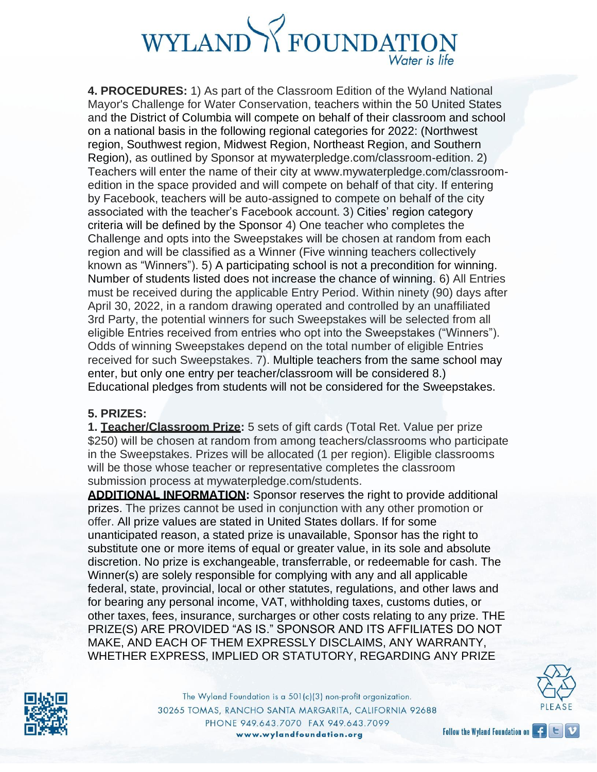**4. PROCEDURES:** 1) As part of the Classroom Edition of the Wyland National Mayor's Challenge for Water Conservation, teachers within the 50 United States and the District of Columbia will compete on behalf of their classroom and school on a national basis in the following regional categories for 2022: (Northwest region, Southwest region, Midwest Region, Northeast Region, and Southern Region), as outlined by Sponsor at mywaterpledge.com/classroom-edition. 2) Teachers will enter the name of their city at [www.mywaterpledge.com/classroom](http://www.mywaterpledge.com/classroom-)edition in the space provided and will compete on behalf of that city. If entering by Facebook, teachers will be auto-assigned to compete on behalf of the city associated with the teacher's Facebook account. 3) Cities' region category criteria will be defined by the Sponsor 4) One teacher who completes the Challenge and opts into the Sweepstakes will be chosen at random from each region and will be classified as a Winner (Five winning teachers collectively known as "Winners"). 5) A participating school is not a precondition for winning. Number of students listed does not increase the chance of winning. 6) All Entries must be received during the applicable Entry Period. Within ninety (90) days after April 30, 2022, in a random drawing operated and controlled by an unaffiliated 3rd Party, the potential winners for such Sweepstakes will be selected from all eligible Entries received from entries who opt into the Sweepstakes ("Winners"). Odds of winning Sweepstakes depend on the total number of eligible Entries received for such Sweepstakes. 7). Multiple teachers from the same school may enter, but only one entry per teacher/classroom will be considered 8.) Educational pledges from students will not be considered for the Sweepstakes.

#### **5. PRIZES:**

**1. Teacher/Classroom Prize:** 5 sets of gift cards (Total Ret. Value per prize \$250) will be chosen at random from among teachers/classrooms who participate in the Sweepstakes. Prizes will be allocated (1 per region). Eligible classrooms will be those whose teacher or representative completes the classroom submission process at mywaterpledge.com/students.

**ADDITIONAL INFORMATION:** Sponsor reserves the right to provide additional prizes. The prizes cannot be used in conjunction with any other promotion or offer. All prize values are stated in United States dollars. If for some unanticipated reason, a stated prize is unavailable, Sponsor has the right to substitute one or more items of equal or greater value, in its sole and absolute discretion. No prize is exchangeable, transferrable, or redeemable for cash. The Winner(s) are solely responsible for complying with any and all applicable federal, state, provincial, local or other statutes, regulations, and other laws and for bearing any personal income, VAT, withholding taxes, customs duties, or other taxes, fees, insurance, surcharges or other costs relating to any prize. THE PRIZE(S) ARE PROVIDED "AS IS." SPONSOR AND ITS AFFILIATES DO NOT MAKE, AND EACH OF THEM EXPRESSLY DISCLAIMS, ANY WARRANTY, WHETHER EXPRESS, IMPLIED OR STATUTORY, REGARDING ANY PRIZE



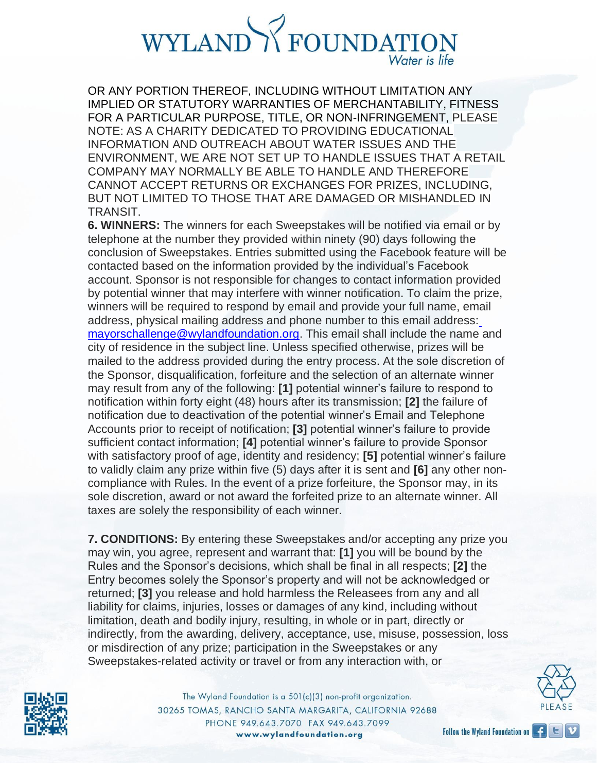OR ANY PORTION THEREOF, INCLUDING WITHOUT LIMITATION ANY IMPLIED OR STATUTORY WARRANTIES OF MERCHANTABILITY, FITNESS FOR A PARTICULAR PURPOSE, TITLE, OR NON-INFRINGEMENT, PLEASE NOTE: AS A CHARITY DEDICATED TO PROVIDING EDUCATIONAL INFORMATION AND OUTREACH ABOUT WATER ISSUES AND THE ENVIRONMENT, WE ARE NOT SET UP TO HANDLE ISSUES THAT A RETAIL COMPANY MAY NORMALLY BE ABLE TO HANDLE AND THEREFORE CANNOT ACCEPT RETURNS OR EXCHANGES FOR PRIZES, INCLUDING, BUT NOT LIMITED TO THOSE THAT ARE DAMAGED OR MISHANDLED IN TRANSIT.

**6. WINNERS:** The winners for each Sweepstakes will be notified via email or by telephone at the number they provided within ninety (90) days following the conclusion of Sweepstakes. Entries submitted using the Facebook feature will be contacted based on the information provided by the individual's Facebook account. Sponsor is not responsible for changes to contact information provided by potential winner that may interfere with winner notification. To claim the prize, winners will be required to respond by email and provide your full name, email address, physical mailing address and phone number to this email address: [mayorschallenge@wylandfoundation.org. T](mailto:mayorschallenge@wylandfoundation.org)his email shall include the name and city of residence in the subject line. Unless specified otherwise, prizes will be mailed to the address provided during the entry process. At the sole discretion of the Sponsor, disqualification, forfeiture and the selection of an alternate winner may result from any of the following: **[1]** potential winner's failure to respond to notification within forty eight (48) hours after its transmission; **[2]** the failure of notification due to deactivation of the potential winner's Email and Telephone Accounts prior to receipt of notification; **[3]** potential winner's failure to provide sufficient contact information; **[4]** potential winner's failure to provide Sponsor with satisfactory proof of age, identity and residency; **[5]** potential winner's failure to validly claim any prize within five (5) days after it is sent and **[6]** any other noncompliance with Rules. In the event of a prize forfeiture, the Sponsor may, in its sole discretion, award or not award the forfeited prize to an alternate winner. All taxes are solely the responsibility of each winner.

**7. CONDITIONS:** By entering these Sweepstakes and/or accepting any prize you may win, you agree, represent and warrant that: **[1]** you will be bound by the Rules and the Sponsor's decisions, which shall be final in all respects; **[2]** the Entry becomes solely the Sponsor's property and will not be acknowledged or returned; **[3]** you release and hold harmless the Releasees from any and all liability for claims, injuries, losses or damages of any kind, including without limitation, death and bodily injury, resulting, in whole or in part, directly or indirectly, from the awarding, delivery, acceptance, use, misuse, possession, loss or misdirection of any prize; participation in the Sweepstakes or any Sweepstakes-related activity or travel or from any interaction with, or

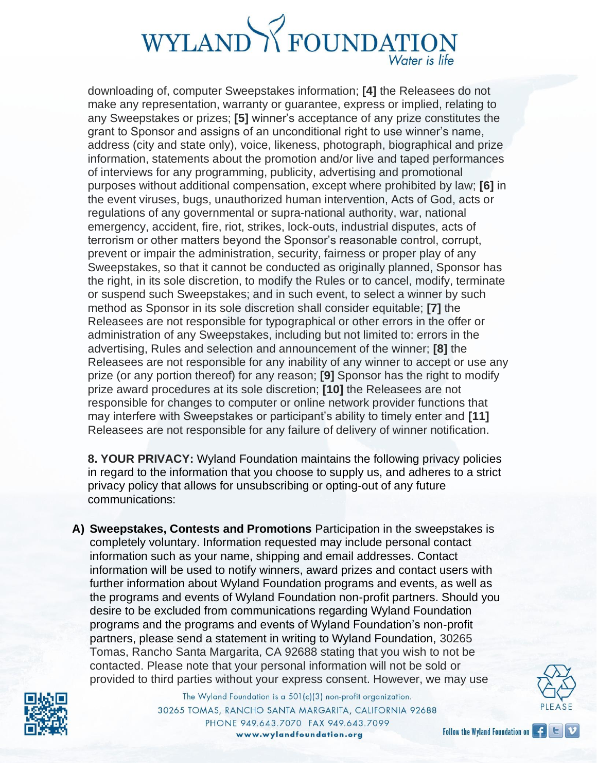downloading of, computer Sweepstakes information; **[4]** the Releasees do not make any representation, warranty or guarantee, express or implied, relating to any Sweepstakes or prizes; **[5]** winner's acceptance of any prize constitutes the grant to Sponsor and assigns of an unconditional right to use winner's name, address (city and state only), voice, likeness, photograph, biographical and prize information, statements about the promotion and/or live and taped performances of interviews for any programming, publicity, advertising and promotional purposes without additional compensation, except where prohibited by law; **[6]** in the event viruses, bugs, unauthorized human intervention, Acts of God, acts or regulations of any governmental or supra-national authority, war, national emergency, accident, fire, riot, strikes, lock-outs, industrial disputes, acts of terrorism or other matters beyond the Sponsor's reasonable control, corrupt, prevent or impair the administration, security, fairness or proper play of any Sweepstakes, so that it cannot be conducted as originally planned, Sponsor has the right, in its sole discretion, to modify the Rules or to cancel, modify, terminate or suspend such Sweepstakes; and in such event, to select a winner by such method as Sponsor in its sole discretion shall consider equitable; **[7]** the Releasees are not responsible for typographical or other errors in the offer or administration of any Sweepstakes, including but not limited to: errors in the advertising, Rules and selection and announcement of the winner; **[8]** the Releasees are not responsible for any inability of any winner to accept or use any prize (or any portion thereof) for any reason; **[9]** Sponsor has the right to modify prize award procedures at its sole discretion; **[10]** the Releasees are not responsible for changes to computer or online network provider functions that may interfere with Sweepstakes or participant's ability to timely enter and **[11]**  Releasees are not responsible for any failure of delivery of winner notification.

**8. YOUR PRIVACY:** Wyland Foundation maintains the following privacy policies in regard to the information that you choose to supply us, and adheres to a strict privacy policy that allows for unsubscribing or opting-out of any future communications:

**A) Sweepstakes, Contests and Promotions** Participation in the sweepstakes is completely voluntary. Information requested may include personal contact information such as your name, shipping and email addresses. Contact information will be used to notify winners, award prizes and contact users with further information about Wyland Foundation programs and events, as well as the programs and events of Wyland Foundation non-profit partners. Should you desire to be excluded from communications regarding Wyland Foundation programs and the programs and events of Wyland Foundation's non-profit partners, please send a statement in writing to Wyland Foundation, 30265 Tomas, Rancho Santa Margarita, CA 92688 stating that you wish to not be contacted. Please note that your personal information will not be sold or provided to third parties without your express consent. However, we may use



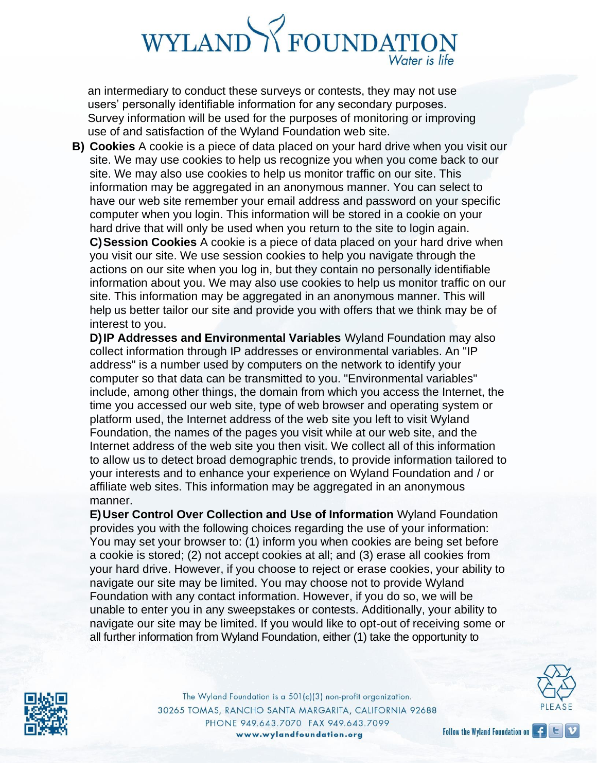an intermediary to conduct these surveys or contests, they may not use users' personally identifiable information for any secondary purposes. Survey information will be used for the purposes of monitoring or improving use of and satisfaction of the Wyland Foundation web site.

**B) Cookies** A cookie is a piece of data placed on your hard drive when you visit our site. We may use cookies to help us recognize you when you come back to our site. We may also use cookies to help us monitor traffic on our site. This information may be aggregated in an anonymous manner. You can select to have our web site remember your email address and password on your specific computer when you login. This information will be stored in a cookie on your hard drive that will only be used when you return to the site to login again. **C)Session Cookies** A cookie is a piece of data placed on your hard drive when you visit our site. We use session cookies to help you navigate through the actions on our site when you log in, but they contain no personally identifiable information about you. We may also use cookies to help us monitor traffic on our site. This information may be aggregated in an anonymous manner. This will help us better tailor our site and provide you with offers that we think may be of interest to you.

**D)IP Addresses and Environmental Variables** Wyland Foundation may also collect information through IP addresses or environmental variables. An "IP address" is a number used by computers on the network to identify your computer so that data can be transmitted to you. "Environmental variables" include, among other things, the domain from which you access the Internet, the time you accessed our web site, type of web browser and operating system or platform used, the Internet address of the web site you left to visit Wyland Foundation, the names of the pages you visit while at our web site, and the Internet address of the web site you then visit. We collect all of this information to allow us to detect broad demographic trends, to provide information tailored to your interests and to enhance your experience on Wyland Foundation and / or affiliate web sites. This information may be aggregated in an anonymous manner.

**E)User Control Over Collection and Use of Information** Wyland Foundation provides you with the following choices regarding the use of your information: You may set your browser to: (1) inform you when cookies are being set before a cookie is stored; (2) not accept cookies at all; and (3) erase all cookies from your hard drive. However, if you choose to reject or erase cookies, your ability to navigate our site may be limited. You may choose not to provide Wyland Foundation with any contact information. However, if you do so, we will be unable to enter you in any sweepstakes or contests. Additionally, your ability to navigate our site may be limited. If you would like to opt-out of receiving some or all further information from Wyland Foundation, either (1) take the opportunity to



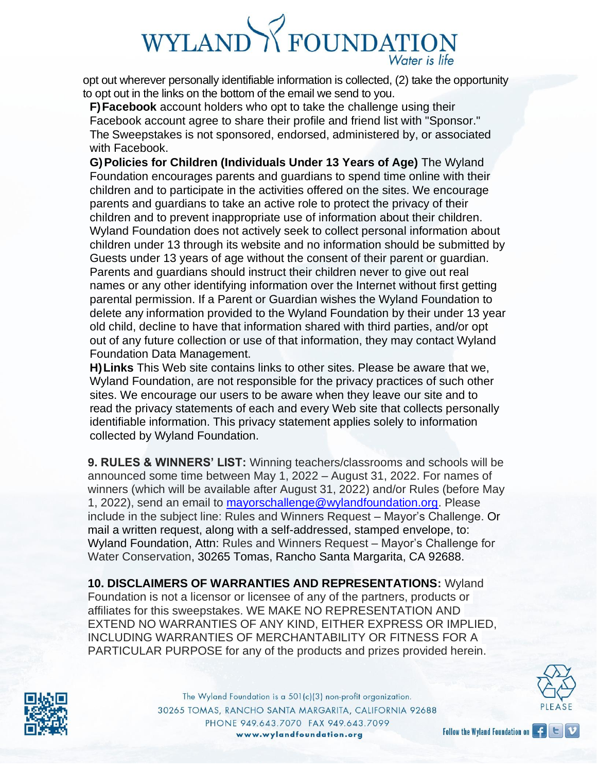opt out wherever personally identifiable information is collected, (2) take the opportunity to opt out in the links on the bottom of the email we send to you.

**F)Facebook** account holders who opt to take the challenge using their Facebook account agree to share their profile and friend list with "Sponsor." The Sweepstakes is not sponsored, endorsed, administered by, or associated with Facebook.

**G)Policies for Children (Individuals Under 13 Years of Age)** The Wyland Foundation encourages parents and guardians to spend time online with their children and to participate in the activities offered on the sites. We encourage parents and guardians to take an active role to protect the privacy of their children and to prevent inappropriate use of information about their children. Wyland Foundation does not actively seek to collect personal information about children under 13 through its website and no information should be submitted by Guests under 13 years of age without the consent of their parent or guardian. Parents and guardians should instruct their children never to give out real names or any other identifying information over the Internet without first getting parental permission. If a Parent or Guardian wishes the Wyland Foundation to delete any information provided to the Wyland Foundation by their under 13 year old child, decline to have that information shared with third parties, and/or opt out of any future collection or use of that information, they may contact Wyland Foundation Data Management.

**H)Links** This Web site contains links to other sites. Please be aware that we, Wyland Foundation, are not responsible for the privacy practices of such other sites. We encourage our users to be aware when they leave our site and to read the privacy statements of each and every Web site that collects personally identifiable information. This privacy statement applies solely to information collected by Wyland Foundation.

**9. RULES & WINNERS' LIST:** Winning teachers/classrooms and schools will be announced some time between May 1, 2022 – August 31, 2022. For names of winners (which will be available after August 31, 2022) and/or Rules (before May 1, 2022), send an email to [mayorschallenge@wylandfoundation.org. P](mailto:mayorschallenge@wylandfoundation.org)lease include in the subject line: Rules and Winners Request – Mayor's Challenge. Or mail a written request, along with a self-addressed, stamped envelope, to: Wyland Foundation, Attn: Rules and Winners Request – Mayor's Challenge for Water Conservation, 30265 Tomas, Rancho Santa Margarita, CA 92688.

**10. DISCLAIMERS OF WARRANTIES AND REPRESENTATIONS:** Wyland Foundation is not a licensor or licensee of any of the partners, products or affiliates for this sweepstakes. WE MAKE NO REPRESENTATION AND EXTEND NO WARRANTIES OF ANY KIND, EITHER EXPRESS OR IMPLIED, INCLUDING WARRANTIES OF MERCHANTABILITY OR FITNESS FOR A PARTICULAR PURPOSE for any of the products and prizes provided herein.